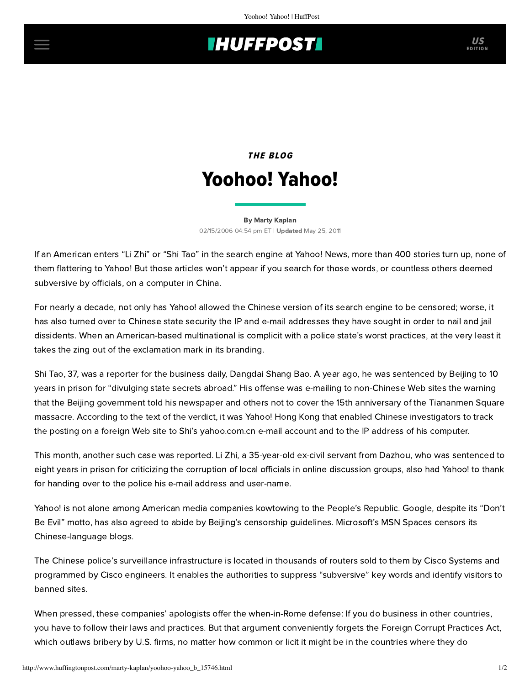# **INUFFPOSTI** US

# THE BLOG Yoohoo! Yahoo!

### [By Marty Kaplan](http://www.huffingtonpost.com/author/marty-kaplan) 02/15/2006 04:54 pm ET | Updated May 25, 2011

If an American enters "Li Zhi" or "Shi Tao" in the search engine at Yahoo! News, more than 400 stories turn up, none of them flattering to Yahoo! But those articles won't appear if you search for those words, or countless others deemed subversive by officials, on a computer in China.

For nearly a decade, not only has Yahoo! allowed the Chinese version of its search engine to be censored; worse, it has also turned over to Chinese state security the IP and e-mail addresses they have sought in order to nail and jail dissidents. When an American-based multinational is complicit with a police state's worst practices, at the very least it takes the zing out of the exclamation mark in its branding.

Shi Tao, 37, was a reporter for the business daily, Dangdai Shang Bao. A year ago, he was sentenced by Beijing to 10 years in prison for "divulging state secrets abroad." His offense was e-mailing to non-Chinese Web sites the warning that the Beijing government told his newspaper and others not to cover the 15th anniversary of the Tiananmen Square massacre. According to the text of the verdict, it was Yahoo! Hong Kong that enabled Chinese investigators to track the posting on a foreign Web site to Shi's yahoo.com.cn e-mail account and to the IP address of his computer.

This month, another such case was reported. Li Zhi, a 35-year-old ex-civil servant from Dazhou, who was sentenced to eight years in prison for criticizing the corruption of local officials in online discussion groups, also had Yahoo! to thank for handing over to the police his e-mail address and user-name.

Yahoo! is not alone among American media companies kowtowing to the People's Republic. Google, despite its "Don't Be Evil" motto, has also agreed to abide by Beijing's censorship guidelines. Microsoft's MSN Spaces censors its Chinese-language blogs.

The Chinese police's surveillance infrastructure is located in thousands of routers sold to them by Cisco Systems and programmed by Cisco engineers. It enables the authorities to suppress "subversive" key words and identify visitors to banned sites.

When pressed, these companies' apologists offer the when-in-Rome defense: If you do business in other countries, you have to follow their laws and practices. But that argument conveniently forgets the Foreign Corrupt Practices Act, which outlaws bribery by U.S. firms, no matter how common or licit it might be in the countries where they do